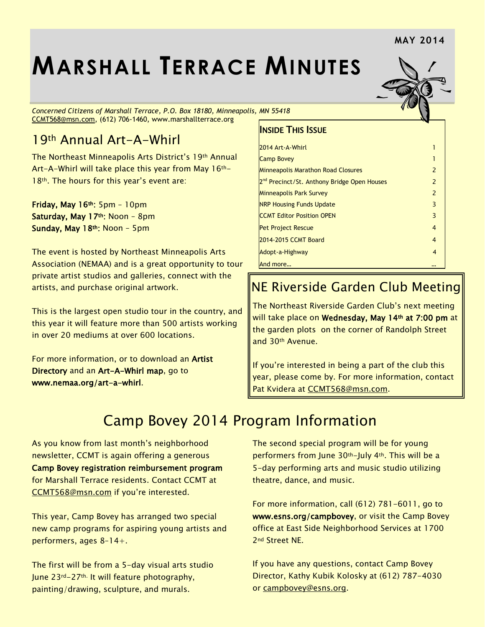#### **MAY 2014**

# **MARSHALL TERRACE MINUTES**

*Concerned Citizens of Marshall Terrace, P.O. Box 18180, Minneapolis, MN 55418* [CCMT568@msn.com,](mailto:CCMT568@msn.com) (612) 706-1460, www.marshallterrace.org

#### 19th Annual Art-A-Whirl

The Northeast Minneapolis Arts District's 19th Annual Art-A-Whirl will take place this year from May 16th-18<sup>th</sup>. The hours for this year's event are:

Friday, May  $16<sup>th</sup>$ : 5pm - 10pm Saturday, May 17th: Noon - 8pm Sunday, May 18th: Noon – 5pm

The event is hosted by Northeast Minneapolis Arts Association (NEMAA) and is a great opportunity to tour private artist studios and galleries, connect with the artists, and purchase original artwork.

This is the largest open studio tour in the country, and this year it will feature more than 500 artists working in over 20 mediums at over 600 locations.

For more information, or to download an Artist Directory and an Art-A-Whirl map, go to [www.nemaa.org/art-a-whirl.](http://www.nemaa.org/art-a-whirl)

#### INSIDE THIS ISSUE

| $\mathcal{P}$ |
|---------------|
| 2             |
| $\mathcal{P}$ |
| 3             |
| 3             |
| 4             |
| 4             |
| 4             |
|               |
|               |

### NE Riverside Garden Club Meeting

The Northeast Riverside Garden Club's next meeting will take place on Wednesday, May 14th at 7:00 pm at the garden plots on the corner of Randolph Street and 30th Avenue.

If you're interested in being a part of the club this year, please come by. For more information, contact Pat Kvidera at [CCMT568@msn.com.](mailto:CCMT568@msn.com)

### Camp Bovey 2014 Program Information

As you know from last month's neighborhood newsletter, CCMT is again offering a generous Camp Bovey registration reimbursement program for Marshall Terrace residents. Contact CCMT at CCMT568@msn.com if you're interested.

This year, Camp Bovey has arranged two special new camp programs for aspiring young artists and performers, ages 8–14+.

The first will be from a 5-day visual arts studio June 23rd-27th. It will feature photography, painting/drawing, sculpture, and murals.

The second special program will be for young performers from June 30th-July 4th. This will be a 5-day performing arts and music studio utilizing theatre, dance, and music.

For more information, call (612) 781-6011, go to www.esns.org/campbovey, or visit the Camp Bovey office at East Side Neighborhood Services at 1700 2nd Street NE.

If you have any questions, contact Camp Bovey Director, Kathy Kubik Kolosky at (612) 787-4030 or [campbovey@esns.org.](mailto:campbovey@esns.org)

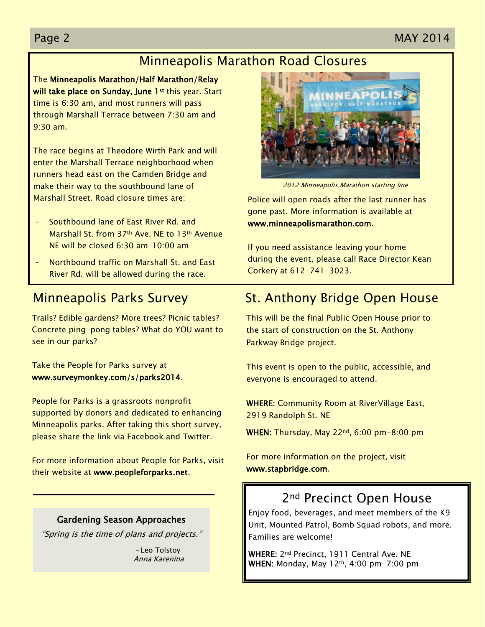#### Page 2 MAY 2014

### Minneapolis Marathon Road Closures

The Minneapolis Marathon/Half Marathon/Relay will take place on Sunday, June 1<sup>st</sup> this year. Start time is 6:30 am, and most runners will pass through Marshall Terrace between 7:30 am and 9:30 am.

The race begins at Theodore Wirth Park and will enter the Marshall Terrace neighborhood when runners head east on the Camden Bridge and make their way to the southbound lane of Marshall Street. Road closure times are:

- Southbound lane of East River Rd. and Marshall St. from 37th Ave. NE to 13th Avenue NE will be closed 6:30 am–10:00 am
- Northbound traffic on Marshall St. and East River Rd. will be allowed during the race.

#### Minneapolis Parks Survey

Trails? Edible gardens? More trees? Picnic tables? Concrete ping-pong tables? What do YOU want to see in our parks?

Take the People for Parks survey at [www.surveymonkey.com/s/parks2014.](http://www.surveymonkey.com/s/parks2014)

People for Parks is a grassroots nonprofit supported by donors and dedicated to enhancing Minneapolis parks. After taking this short survey, please share the link via Facebook and Twitter.

For more information about People for Parks, visit their website at [www.peopleforparks.net.](http://www.peopleforparks.net/)

#### Gardening Season Approaches

"Spring is the time of plans and projects."

 – Leo Tolstoy Anna Karenina



2012 Minneapolis Marathon starting line

Police will open roads after the last runner has gone past. More information is available at www.minneapolismarathon.com.

If you need assistance leaving your home during the event, please call Race Director Kean Corkery at 612-741-3023.

### St. Anthony Bridge Open House

This will be the final Public Open House prior to the start of construction on the St. Anthony Parkway Bridge project.

This event is open to the public, accessible, and everyone is encouraged to attend.

WHERE: Community Room at RiverVillage East, 2919 Randolph St. NE

WHEN: Thursday, May 22<sup>nd</sup>, 6:00 pm-8:00 pm

For more information on the project, visit [www.stapbridge.com.](http://www.stapbridge.com/)

### 2<sup>nd</sup> Precinct Open House

Enjoy food, beverages, and meet members of the K9 Unit, Mounted Patrol, Bomb Squad robots, and more. Families are welcome!

WHERE: 2<sup>nd</sup> Precinct, 1911 Central Ave. NE WHEN: Monday, May 12th, 4:00 pm-7:00 pm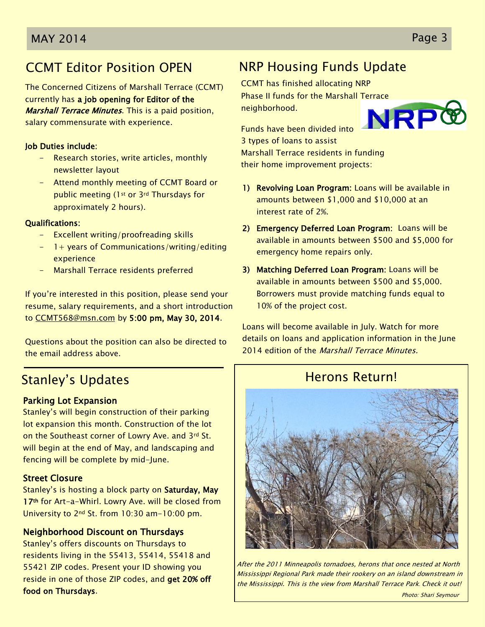### CCMT Editor Position OPEN

The Concerned Citizens of Marshall Terrace (CCMT) currently has a job opening for Editor of the **Marshall Terrace Minutes.** This is a paid position, salary commensurate with experience.

#### Job Duties include:

- Research stories, write articles, monthly newsletter layout
- Attend monthly meeting of CCMT Board or public meeting (1st or 3rd Thursdays for approximately 2 hours).

#### Qualifications:

- Excellent writing/proofreading skills
- 1+ years of Communications/writing/editing experience
- Marshall Terrace residents preferred

If you're interested in this position, please send your resume, salary requirements, and a short introduction to [CCMT568@msn.com](mailto:CCMT568@msn.com) by 5:00 pm, May 30, 2014.

Questions about the position can also be directed to the email address above.

### Stanley's Updates

#### Parking Lot Expansion

Stanley's will begin construction of their parking lot expansion this month. Construction of the lot on the Southeast corner of Lowry Ave. and 3rd St. will begin at the end of May, and landscaping and fencing will be complete by mid-June.

#### Street Closure

Stanley's is hosting a block party on Saturday, May 17<sup>th</sup> for Art-a-Whirl. Lowry Ave. will be closed from University to 2nd St. from 10:30 am-10:00 pm.

#### Neighborhood Discount on Thursdays

Stanley's offers discounts on Thursdays to residents living in the 55413, 55414, 55418 and 55421 ZIP codes. Present your ID showing you reside in one of those ZIP codes, and get 20% off food on Thursdays.

### NRP Housing Funds Update

CCMT has finished allocating NRP Phase II funds for the Marshall Terrace NRPG neighborhood.

Funds have been divided into 3 types of loans to assist Marshall Terrace residents in funding their home improvement projects:

- 1) Revolving Loan Program: Loans will be available in amounts between \$1,000 and \$10,000 at an interest rate of 2%.
- 2) Emergency Deferred Loan Program: Loans will be available in amounts between \$500 and \$5,000 for emergency home repairs only.
- 3) Matching Deferred Loan Program: Loans will be available in amounts between \$500 and \$5,000. Borrowers must provide matching funds equal to 10% of the project cost.

Loans will become available in July. Watch for more details on loans and application information in the June 2014 edition of the *Marshall Terrace Minutes*.

### Herons Return!



After the 2011 Minneapolis tornadoes, herons that once nested at North Mississippi Regional Park made their rookery on an island downstream in the Mississippi. This is the view from Marshall Terrace Park. Check it out!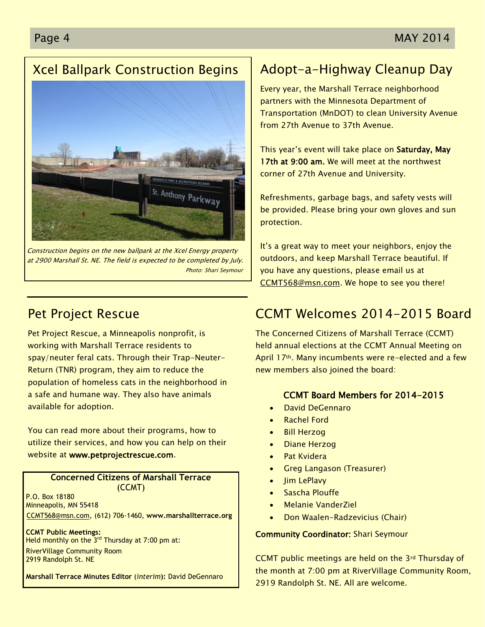### Xcel Ballpark Construction Begins



Construction begins on the new ballpark at the Xcel Energy property at 2900 Marshall St. NE. The field is expected to be completed by July. Photo: Shari Seymour

### Pet Project Rescue

Pet Project Rescue, a Minneapolis nonprofit, is working with Marshall Terrace residents to spay/neuter feral cats. Through their Trap-Neuter-Return (TNR) program, they aim to reduce the population of homeless cats in the neighborhood in a safe and humane way. They also have animals available for adoption.

You can read more about their programs, how to utilize their services, and how you can help on their website at [www.petprojectrescue.com.](http://www.petprojectrescue.com/)

#### **Concerned Citizens of Marshall Terrace** (CCMT)

P.O. Box 18180 Minneapolis, MN 55418 [CCMT568@msn.com,](mailto:CCMT568@msn.com) (612) 706-1460, **www.marshallterrace.org**

**CCMT Public Meetings:** Held monthly on the  $3^{rd}$  Thursday at 7:00 pm at: RiverVillage Community Room 2919 Randolph St. NE

**Marshall Terrace Minutes Editor** (*interim***):** David DeGennaro

### Adopt-a-Highway Cleanup Day

Every year, the Marshall Terrace neighborhood partners with the Minnesota Department of Transportation (MnDOT) to clean University Avenue from 27th Avenue to 37th Avenue.

This year's event will take place on Saturday, May 17th at 9:00 am. We will meet at the northwest corner of 27th Avenue and University.

Refreshments, garbage bags, and safety vests will be provided. Please bring your own gloves and sun protection.

It's a great way to meet your neighbors, enjoy the outdoors, and keep Marshall Terrace beautiful. If you have any questions, please email us at [CCMT568@msn.com.](mailto:CCMT568@msn.com) We hope to see you there!

### CCMT Welcomes 2014-2015 Board

The Concerned Citizens of Marshall Terrace (CCMT) held annual elections at the CCMT Annual Meeting on April 17<sup>th</sup>. Many incumbents were re-elected and a few new members also joined the board:

#### CCMT Board Members for 2014-2015

- David DeGennaro
- Rachel Ford
- Bill Herzog
- Diane Herzog
- Pat Kvidera
- Greg Langason (Treasurer)
- Jim LePlavy
- Sascha Plouffe
- Melanie VanderZiel
- Don Waalen-Radzevicius (Chair)

#### Community Coordinator: Shari Seymour

CCMT public meetings are held on the 3rd Thursday of the month at 7:00 pm at RiverVillage Community Room, 2919 Randolph St. NE. All are welcome.